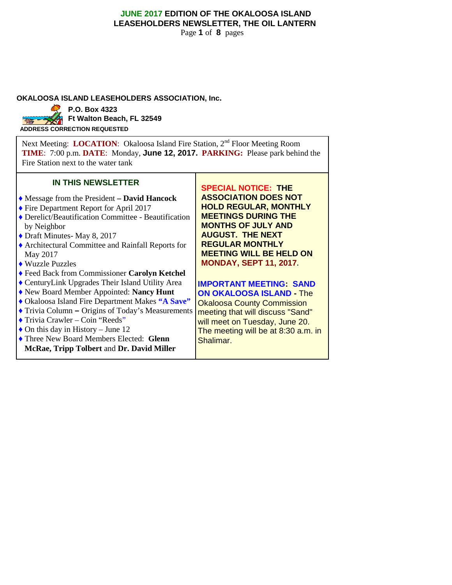# **JUNE 2017 EDITION OF THE OKALOOSA ISLAND LEASEHOLDERS NEWSLETTER, THE OIL LANTERN**

Page **1** of **8** pages

### **OKALOOSA ISLAND LEASEHOLDERS ASSOCIATION, Inc.**



**Ft Walton Beach, FL 32549** 

**ADDRESS CORRECTION REQUESTED**

Next Meeting: **LOCATION**: Okaloosa Island Fire Station, 2<sup>nd</sup> Floor Meeting Room **TIME**: 7:00 p.m. **DATE**: Monday, **June 12, 2017. PARKING:** Please park behind the Fire Station next to the water tank

## **IN THIS NEWSLETTER**

- ♦ Message from the President **– David Hancock**
- ♦ Fire Department Report for April 2017
- ♦ Derelict/Beautification Committee Beautification by Neighbor
- ♦ Draft Minutes- May 8, 2017
- ♦ Architectural Committee and Rainfall Reports for May 2017
- ♦ Wuzzle Puzzles
- ♦ Feed Back from Commissioner **Carolyn Ketchel**
- ♦ CenturyLink Upgrades Their Island Utility Area
- ♦ New Board Member Appointed: **Nancy Hunt**
- ♦ Okaloosa Island Fire Department Makes **"A Save"**
- ♦ Trivia Column **–** Origins of Today's Measurements
- ♦ Trivia Crawler Coin "Reeds"
- $\triangle$  On this day in History June 12
- ♦ Three New Board Members Elected: **Glenn**
- **McRae, Tripp Tolbert** and **Dr. David Miller**

**SPECIAL NOTICE: THE ASSOCIATION DOES NOT HOLD REGULAR, MONTHLY MEETINGS DURING THE MONTHS OF JULY AND AUGUST. THE NEXT REGULAR MONTHLY MEETING WILL BE HELD ON MONDAY, SEPT 11, 2017.**

#### **IMPORTANT MEETING: SAND ON OKALOOSA ISLAND -** The

Okaloosa County Commission meeting that will discuss "Sand" will meet on Tuesday, June 20. The meeting will be at 8:30 a.m. in Shalimar.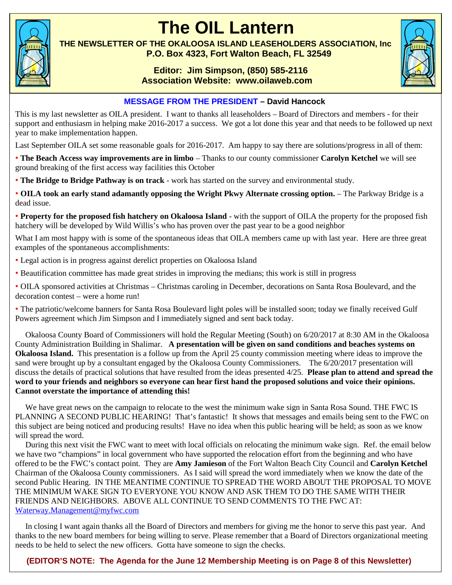

# **The OIL Lantern**

**THE NEWSLETTER OF THE OKALOOSA ISLAND LEASEHOLDERS ASSOCIATION, Inc P.O. Box 4323, Fort Walton Beach, FL 32549**

# **Editor: Jim Simpson, (850) 585-2116 Association Website: www.oilaweb.com**



# **MESSAGE FROM THE PRESIDENT – David Hancock**

This is my last newsletter as OILA president. I want to thanks all leaseholders – Board of Directors and members - for their support and enthusiasm in helping make 2016-2017 a success. We got a lot done this year and that needs to be followed up next year to make implementation happen.

Last September OILA set some reasonable goals for 2016-2017. Am happy to say there are solutions/progress in all of them:

• **The Beach Access way improvements are in limbo** – Thanks to our county commissioner **Carolyn Ketchel** we will see ground breaking of the first access way facilities this October

• **The Bridge to Bridge Pathway is on track** - work has started on the survey and environmental study.

• **OILA took an early stand adamantly opposing the Wright Pkwy Alternate crossing option.** – The Parkway Bridge is a dead issue.

• **Property for the proposed fish hatchery on Okaloosa Island** - with the support of OILA the property for the proposed fish hatchery will be developed by Wild Willis's who has proven over the past year to be a good neighbor

What I am most happy with is some of the spontaneous ideas that OILA members came up with last year. Here are three great examples of the spontaneous accomplishments:

- Legal action is in progress against derelict properties on Okaloosa Island
- Beautification committee has made great strides in improving the medians; this work is still in progress

• OILA sponsored activities at Christmas – Christmas caroling in December, decorations on Santa Rosa Boulevard, and the decoration contest – were a home run!

• The patriotic/welcome banners for Santa Rosa Boulevard light poles will be installed soon; today we finally received Gulf Powers agreement which Jim Simpson and I immediately signed and sent back today.

Okaloosa County Board of Commissioners will hold the Regular Meeting (South) on 6/20/2017 at 8:30 AM in the Okaloosa County Administration Building in Shalimar. **A presentation will be given on sand conditions and beaches systems on Okaloosa Island.** This presentation is a follow up from the April 25 county commission meeting where ideas to improve the sand were brought up by a consultant engaged by the Okaloosa County Commissioners. The 6/20/2017 presentation will discuss the details of practical solutions that have resulted from the ideas presented 4/25. **Please plan to attend and spread the word to your friends and neighbors so everyone can hear first hand the proposed solutions and voice their opinions. Cannot overstate the importance of attending this!**

We have great news on the campaign to relocate to the west the minimum wake sign in Santa Rosa Sound. THE FWC IS PLANNING A SECOND PUBLIC HEARING! That's fantastic! It shows that messages and emails being sent to the FWC on this subject are being noticed and producing results! Have no idea when this public hearing will be held; as soon as we know will spread the word.

During this next visit the FWC want to meet with local officials on relocating the minimum wake sign. Ref. the email below we have two "champions" in local government who have supported the relocation effort from the beginning and who have offered to be the FWC's contact point. They are **Amy Jamieson** of the Fort Walton Beach City Council and **Carolyn Ketchel** Chairman of the Okaloosa County commissioners. As I said will spread the word immediately when we know the date of the second Public Hearing. IN THE MEANTIME CONTINUE TO SPREAD THE WORD ABOUT THE PROPOSAL TO MOVE THE MINIMUM WAKE SIGN TO EVERYONE YOU KNOW AND ASK THEM TO DO THE SAME WITH THEIR FRIENDS AND NEIGHBORS. ABOVE ALL CONTINUE TO SEND COMMENTS TO THE FWC AT: Waterway.Management@myfwc.com

In closing I want again thanks all the Board of Directors and members for giving me the honor to serve this past year. And thanks to the new board members for being willing to serve. Please remember that a Board of Directors organizational meeting needs to be held to select the new officers. Gotta have someone to sign the checks.

# **(EDITOR'S NOTE: The Agenda for the June 12 Membership Meeting is on Page 8 of this Newsletter)**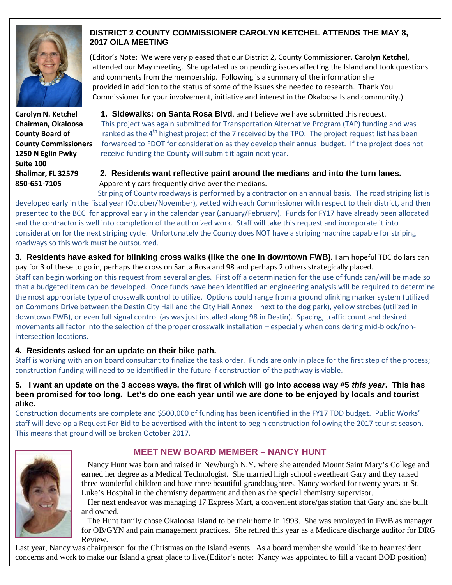

**Suite 100**

# **DISTRICT 2 COUNTY COMMISSIONER CAROLYN KETCHEL ATTENDS THE MAY 8, 2017 OILA MEETING**

(Editor's Note: We were very pleased that our District 2, County Commissioner. **Carolyn Ketchel**, attended our May meeting. She updated us on pending issues affecting the Island and took questions and comments from the membership. Following is a summary of the information she provided in addition to the status of some of the issues she needed to research. Thank You Commissioner for your involvement, initiative and interest in the Okaloosa Island community.)

**Carolyn N. Ketchel 1. Sidewalks: on Santa Rosa Blvd**. and I believe we have submitted this request. **Chairman, Okaloosa** This project was again submitted for Transportation Alternative Program (TAP) funding and was **County Board of** ranked as the 4<sup>th</sup> highest project of the 7 received by the TPO. The project request list has been **County Commissioners** forwarded to FDOT for consideration as they develop their annual budget. If the project does not **1250 N Eglin Pwky** receive funding the County will submit it again next year.

# **Shalimar, FL 32579 2. Residents want reflective paint around the medians and into the turn lanes. 850-651-7105** Apparently cars frequently drive over the medians.

Striping of County roadways is performed by a contractor on an annual basis. The road striping list is developed early in the fiscal year (October/November), vetted with each Commissioner with respect to their district, and then presented to the BCC for approval early in the calendar year (January/February). Funds for FY17 have already been allocated and the contractor is well into completion of the authorized work. Staff will take this request and incorporate it into consideration for the next striping cycle. Unfortunately the County does NOT have a striping machine capable for striping roadways so this work must be outsourced.

**3. Residents have asked for blinking cross walks (like the one in downtown FWB).** I am hopeful TDC dollars can pay for 3 of these to go in, perhaps the cross on Santa Rosa and 98 and perhaps 2 others strategically placed.

Staff can begin working on this request from several angles. First off a determination for the use of funds can/will be made so that a budgeted item can be developed. Once funds have been identified an engineering analysis will be required to determine the most appropriate type of crosswalk control to utilize. Options could range from a ground blinking marker system (utilized on Commons Drive between the Destin City Hall and the City Hall Annex – next to the dog park), yellow strobes (utilized in downtown FWB), or even full signal control (as was just installed along 98 in Destin). Spacing, traffic count and desired movements all factor into the selection of the proper crosswalk installation – especially when considering mid-block/nonintersection locations.

# **4. Residents asked for an update on their bike path.**

Staff is working with an on board consultant to finalize the task order. Funds are only in place for the first step of the process; construction funding will need to be identified in the future if construction of the pathway is viable.

**5. I want an update on the 3 access ways, the first of which will go into access way #5** *this year***. This has been promised for too long. Let's do one each year until we are done to be enjoyed by locals and tourist alike.**

Construction documents are complete and \$500,000 of funding has been identified in the FY17 TDD budget. Public Works' staff will develop a Request For Bid to be advertised with the intent to begin construction following the 2017 tourist season. This means that ground will be broken October 2017.



# **MEET NEW BOARD MEMBER – NANCY HUNT**

Nancy Hunt was born and raised in Newburgh N.Y. where she attended Mount Saint Mary's College and earned her degree as a Medical Technologist. She married high school sweetheart Gary and they raised three wonderful children and have three beautiful granddaughters. Nancy worked for twenty years at St. Luke's Hospital in the chemistry department and then as the special chemistry supervisor.

Her next endeavor was managing 17 Express Mart, a convenient store/gas station that Gary and she built and owned.

The Hunt family chose Okaloosa Island to be their home in 1993. She was employed in FWB as manager for OB/GYN and pain management practices. She retired this year as a Medicare discharge auditor for DRG Review.

Last year, Nancy was chairperson for the Christmas on the Island events. As a board member she would like to hear resident concerns and work to make our Island a great place to live.(Editor's note: Nancy was appointed to fill a vacant BOD position)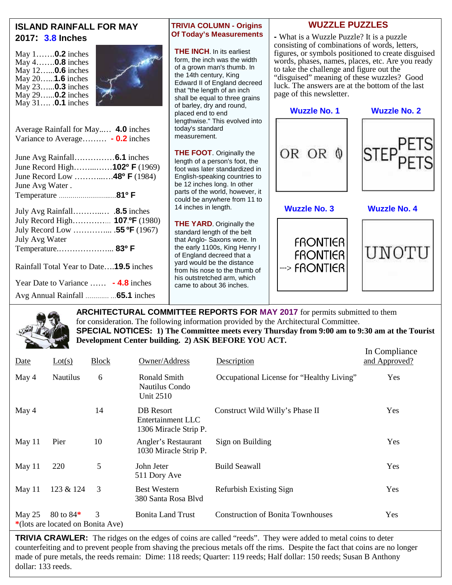

**ARCHITECTURAL COMMITTEE REPORTS FOR MAY 2017** for permits submitted to them for consideration. The following information provided by the Architectural Committee. **SPECIAL NOTICES: 1) The Committee meets every Thursday from 9:00 am to 9:30 am at the Tourist Development Center building. 2) ASK BEFORE YOU ACT.**

 $\Gamma_n$   $C_{\text{current}}$ 

| Date   | Lot(s)                                         | <b>Block</b> | Owner/Address                                           | Description                               | In Comphance<br>and Approved? |
|--------|------------------------------------------------|--------------|---------------------------------------------------------|-------------------------------------------|-------------------------------|
| May 4  | <b>Nautilus</b>                                | 6            | Ronald Smith<br>Nautilus Condo<br><b>Unit 2510</b>      | Occupational License for "Healthy Living" | Yes                           |
| May 4  |                                                | 14           | DB Resort<br>Entertainment LLC<br>1306 Miracle Strip P. | Construct Wild Willy's Phase II           | Yes                           |
| May 11 | Pier                                           | 10           | Angler's Restaurant<br>1030 Miracle Strip P.            | Sign on Building                          | Yes                           |
| May 11 | 220                                            | 5            | John Jeter<br>511 Dory Ave                              | <b>Build Seawall</b>                      | Yes                           |
| May 11 | 123 & 124                                      | 3            | <b>Best Western</b><br>380 Santa Rosa Blvd              | Refurbish Existing Sign                   | Yes                           |
| May 25 | 80 to 84*<br>*(lots are located on Bonita Ave) | 3            | <b>Bonita Land Trust</b>                                | <b>Construction of Bonita Townhouses</b>  | Yes                           |

**TRIVIA CRAWLER:** The ridges on the edges of coins are called "reeds". They were added to metal coins to deter counterfeiting and to prevent people from shaving the precious metals off the rims. Despite the fact that coins are no longer made of pure metals, the reeds remain: Dime: 118 reeds; Quarter: 119 reeds; Half dollar: 150 reeds; Susan B Anthony dollar: 133 reeds.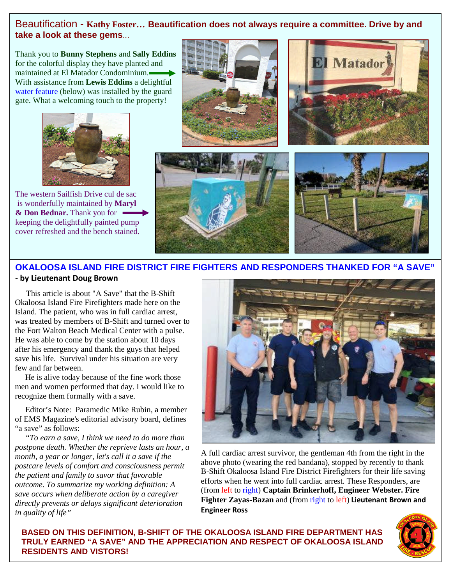# Beautification - **Kathy Foster… Beautification does not always require a committee. Drive by and take a look at these gems**...

Thank you to **Bunny Stephens** and **Sally Eddins** for the colorful display they have planted and maintained at El Matador Condominium. With assistance from **Lewis Eddins** a delightful water feature (below) was installed by the guard gate. What a welcoming touch to the property!



The western Sailfish Drive cul de sac is wonderfully maintained by **Maryl & Don Bednar.** Thank you for keeping the delightfully painted pump cover refreshed and the bench stained.









# **OKALOOSA ISLAND FIRE DISTRICT FIRE FIGHTERS AND RESPONDERS THANKED FOR "A SAVE"**

# **- by Lieutenant Doug Brown**

This article is about "A Save" that the B-Shift Okaloosa Island Fire Firefighters made here on the Island. The patient, who was in full cardiac arrest, was treated by members of B-Shift and turned over to the Fort Walton Beach Medical Center with a pulse. He was able to come by the station about 10 days after his emergency and thank the guys that helped save his life. Survival under his situation are very few and far between.

He is alive today because of the fine work those men and women performed that day. I would like to recognize them formally with a save.

Editor's Note: Paramedic Mike Rubin, a member of EMS Magazine's editorial advisory board, defines "a save" as follows:

*"To earn a save, I think we need to do more than postpone death. Whether the reprieve lasts an hour, a month, a year or longer, let's call it a save if the postcare levels of comfort and consciousness permit the patient and family to savor that favorable outcome. To summarize my working definition: A save occurs when deliberate action by a caregiver directly prevents or delays significant deterioration in quality of life"*



A full cardiac arrest survivor, the gentleman 4th from the right in the above photo (wearing the red bandana), stopped by recently to thank B-Shift Okaloosa Island Fire District Firefighters for their life saving efforts when he went into full cardiac arrest. These Responders, are (from left to right) **Captain Brinkerhoff, Engineer Webster. Fire Fighter Zayas-Bazan** and (from right to left) **Lieutenant Brown and Engineer Ross**

**BASED ON THIS DEFINITION, B-SHIFT OF THE OKALOOSA ISLAND FIRE DEPARTMENT HAS TRULY EARNED "A SAVE" AND THE APPRECIATION AND RESPECT OF OKALOOSA ISLAND RESIDENTS AND VISTORS!**

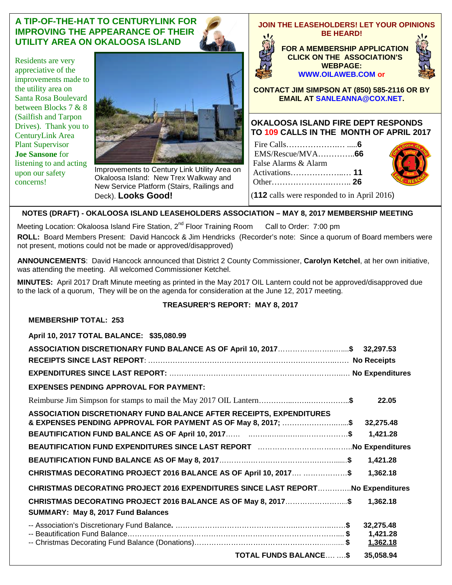# **A TIP-OF-THE-HAT TO CENTURYLINK FOR IMPROVING THE APPEARANCE OF THEIR UTILITY AREA ON OKALOOSA ISLAND**

Residents are very appreciative of the improvements made to the utility area on Santa Rosa Boulevard between Blocks 7 & 8 (Sailfish and Tarpon Drives). Thank you to CenturyLink Area Plant Supervisor **Joe Sansone** for listening to and acting upon our safety concerns!



Improvements to Century Link Utility Area on Okaloosa Island: New Trex Walkway and New Service Platform (Stairs, Railings and Deck). **Looks Good!**

#### **JOIN THE LEASEHOLDERS! LET YOUR OPINIONS BE HEARD!**

**FOR A MEMBERSHIP APPLICATION CLICK ON THE ASSOCIATION'S WEBPAGE: WWW.OILAWEB.COM or**



**CONTACT JIM SIMPSON AT (850) 585-2116 OR BY EMAIL AT SANLEANNA@COX.NET.**

## **OKALOOSA ISLAND FIRE DEPT RESPONDS TO 109 CALLS IN THE MONTH OF APRIL 2017**

|                                             | <b>CONTROLLER</b> |
|---------------------------------------------|-------------------|
| False Alarms & Alarm                        |                   |
|                                             |                   |
|                                             |                   |
| (112 calls were responded to in April 2016) |                   |



**NOTES (DRAFT) - OKALOOSA ISLAND LEASEHOLDERS ASSOCIATION – MAY 8, 2017 MEMBERSHIP MEETING**

Meeting Location: Okaloosa Island Fire Station, 2<sup>nd</sup> Floor Training Room Call to Order: 7:00 pm **ROLL:** Board Members Present: David Hancock & Jim Hendricks (Recorder's note: Since a quorum of Board members were not present, motions could not be made or approved/disapproved)

**ANNOUNCEMENTS**: David Hancock announced that District 2 County Commissioner, **Carolyn Ketchel**, at her own initiative, was attending the meeting. All welcomed Commissioner Ketchel.

**MINUTES:** April 2017 Draft Minute meeting as printed in the May 2017 OIL Lantern could not be approved/disapproved due to the lack of a quorum, They will be on the agenda for consideration at the June 12, 2017 meeting.

# **TREASURER'S REPORT: MAY 8, 2017**

| <b>MEMBERSHIP TOTAL: 253</b>                                                                        |  |           |
|-----------------------------------------------------------------------------------------------------|--|-----------|
| April 10, 2017 TOTAL BALANCE: \$35,080.99                                                           |  |           |
| ASSOCIATION DISCRETIONARY FUND BALANCE AS OF April 10, 2017\$ 32,297.53                             |  |           |
|                                                                                                     |  |           |
|                                                                                                     |  |           |
| <b>EXPENSES PENDING APPROVAL FOR PAYMENT:</b>                                                       |  |           |
|                                                                                                     |  | 22.05     |
| ASSOCIATION DISCRETIONARY FUND BALANCE AFTER RECEIPTS, EXPENDITURES                                 |  |           |
| & EXPENSES PENDING APPROVAL FOR PAYMENT AS OF May 8, 2017; \$                                       |  | 32,275.48 |
|                                                                                                     |  | 1,421.28  |
| BEAUTIFICATION FUND EXPENDITURES SINCE LAST REPORT MARRIST MANUSCONDUCTION Rependitures             |  |           |
|                                                                                                     |  | 1,421.28  |
| CHRISTMAS DECORATING PROJECT 2016 BALANCE AS OF April 10, 2017 \$                                   |  | 1,362.18  |
| CHRISTMAS DECORATING PROJECT 2016 EXPENDITURES SINCE LAST REPORTNo Expenditures                     |  |           |
| CHRISTMAS DECORATING PROJECT 2016 BALANCE AS OF May 8, 2017\$<br>SUMMARY: May 8, 2017 Fund Balances |  | 1.362.18  |
|                                                                                                     |  | 32,275.48 |
|                                                                                                     |  | 1,421.28  |
|                                                                                                     |  | 1,362.18  |
| <b>TOTAL FUNDS BALANCE \$</b>                                                                       |  | 35,058.94 |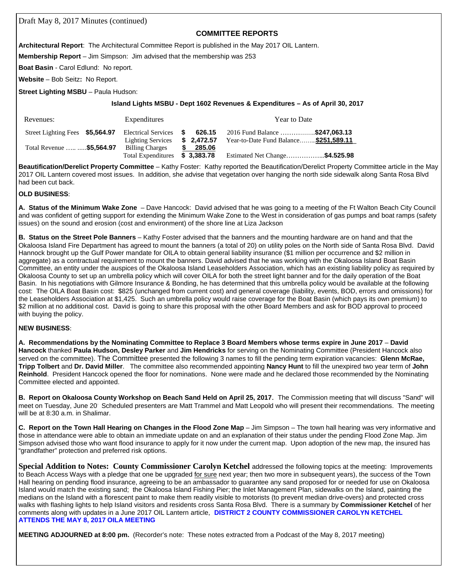Draft May 8, 2017 Minutes (continued)

#### **COMMITTEE REPORTS**

**Architectural Report**: The Architectural Committee Report is published in the May 2017 OIL Lantern.

**Membership Report** – Jim Simpson: Jim advised that the membership was 253

**Boat Basin** - Carol Edlund: No report.

**Website** – Bob Seitz**:** No Report.

**Street Lighting MSBU** – Paula Hudson:

#### **Island Lights MSBU - Dept 1602 Revenues & Expenditures – As of April 30, 2017**

| Revenues:                       | Expenditures                                                     | Year to Date                                                                       |
|---------------------------------|------------------------------------------------------------------|------------------------------------------------------------------------------------|
| Street Lighting Fees \$5,564.97 | Electrical Services \$<br>\$2.472.57<br><b>Lighting Services</b> | 2016 Fund Balance \$247.063.13<br>626.15<br>Year-to-Date Fund Balance \$251,589.11 |
| Total Revenue   \$5,564.97      | S.<br><b>Billing Charges</b><br>Total Expenditures \$3,383.78    | 285.06<br>Estimated Net Change\$4.525.98                                           |

**Beautification/Derelict Property Committee** – Kathy Foster: Kathy reported the Beautification/Derelict Property Committee article in the May 2017 OIL Lantern covered most issues. In addition, she advise that vegetation over hanging the north side sidewalk along Santa Rosa Blvd had been cut back.

#### **OLD BUSINESS**:

**A. Status of the Minimum Wake Zone** – Dave Hancock: David advised that he was going to a meeting of the Ft Walton Beach City Council and was confident of getting support for extending the Minimum Wake Zone to the West in consideration of gas pumps and boat ramps (safety issues) on the sound and erosion (cost and environment) of the shore line at Liza Jackson

**B. Status on the Street Pole Banners** – Kathy Foster advised that the banners and the mounting hardware are on hand and that the Okaloosa Island Fire Department has agreed to mount the banners (a total of 20) on utility poles on the North side of Santa Rosa Blvd. David Hannock brought up the Gulf Power mandate for OILA to obtain general liability insurance (\$1 million per occurrence and \$2 million in aggregate) as a contractual requirement to mount the banners. David advised that he was working with the Okaloosa Island Boat Basin Committee, an entity under the auspices of the Okaloosa Island Leaseholders Association, which has an existing liability policy as required by Okaloosa County to set up an umbrella policy which will cover OILA for both the street light banner and for the daily operation of the Boat Basin. In his negotiations with Gilmore Insurance & Bonding, he has determined that this umbrella policy would be available at the following cost: The OILA Boat Basin cost: \$825 (unchanged from current cost) and general coverage (liability, events, BOD, errors and omissions) for the Leaseholders Association at \$1,425. Such an umbrella policy would raise coverage for the Boat Basin (which pays its own premium) to \$2 million at no additional cost. David is going to share this proposal with the other Board Members and ask for BOD approval to proceed with buying the policy.

#### **NEW BUSINESS**:

**A. Recommendations by the Nominating Committee to Replace 3 Board Members whose terms expire in June 2017** – **David Hancock** thanked **Paula Hudson, Desley Parker** and **Jim Hendricks** for serving on the Nominating Committee (President Hancock also served on the committee). The Committee presented the following 3 names to fill the pending term expiration vacancies: **Glenn McRae, Tripp Tolbert** and **Dr. David Miller**. The committee also recommended appointing **Nancy Hunt** to fill the unexpired two year term of **John Reinhold**. President Hancock opened the floor for nominations. None were made and he declared those recommended by the Nominating Committee elected and appointed.

**B. Report on Okaloosa County Workshop on Beach Sand Held on April 25, 2017**. The Commission meeting that will discuss "Sand" will meet on Tuesday, June 20. Scheduled presenters are Matt Trammel and Matt Leopold who will present their recommendations. The meeting will be at 8:30 a.m. in Shalimar.

**C. Report on the Town Hall Hearing on Changes in the Flood Zone Map** – Jim Simpson – The town hall hearing was very informative and those in attendance were able to obtain an immediate update on and an explanation of their status under the pending Flood Zone Map. Jim Simpson advised those who want flood insurance to apply for it now under the current map. Upon adoption of the new map, the insured has "grandfather" protection and preferred risk options.

**Special Addition to Notes: County Commissioner Carolyn Ketchel** addressed the following topics at the meeting: Improvements to Beach Access Ways with a pledge that one be upgraded for sure next year; then two more in subsequent years), the success of the Town Hall hearing on pending flood insurance, agreeing to be an ambassador to guarantee any sand proposed for or needed for use on Okaloosa Island would match the existing sand; the Okaloosa Island Fishing Pier; the Inlet Management Plan, sidewalks on the Island, painting the medians on the Island with a florescent paint to make them readily visible to motorists (to prevent median drive-overs) and protected cross walks with flashing lights to help Island visitors and residents cross Santa Rosa Blvd. There is a summary by **Commissioner Ketchel** of her comments along with updates in a June 2017 OIL Lantern article, **DISTRICT 2 COUNTY COMMISSIONER CAROLYN KETCHEL ATTENDS THE MAY 8, 2017 OILA MEETING**

**MEETING ADJOURNED at 8:00 pm.** (Recorder's note: These notes extracted from a Podcast of the May 8, 2017 meeting)